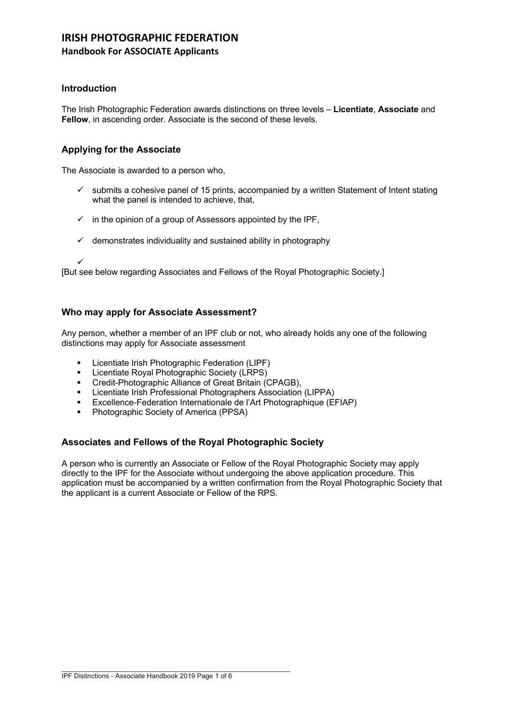# **IRISH PHOTOGRAPHIC FEDERATION Handbook For ASSOCIATE Applicants**

# **Introduction**

The Irish Photographic Federation awards distinctions on three levels – **Licentiate**, **Associate** and **Fellow**, in ascending order. Associate is the second of these levels.

# **Applying for the Associate**

The Associate is awarded to a person who,

- $\checkmark$  submits a cohesive panel of 15 prints, accompanied by a written Statement of Intent stating what the panel is intended to achieve, that,
- $\checkmark$  in the opinion of a group of Assessors appointed by the IPF,
- $\checkmark$  demonstrates individuality and sustained ability in photography

ü

[But see below regarding Associates and Fellows of the Royal Photographic Society.]

# **Who may apply for Associate Assessment?**

Any person, whether a member of an IPF club or not, who already holds any one of the following distinctions may apply for Associate assessment

- § Licentiate Irish Photographic Federation (LIPF)
- **E** Licentiate Royal Photographic Society (LRPS)
- Credit-Photographic Alliance of Great Britain (CPAGB),
- § Licentiate Irish Professional Photographers Association (LIPPA)
- § Excellence-Federation Internationale de l'Art Photographique (EFIAP)
- § Photographic Society of America (PPSA)

# **Associates and Fellows of the Royal Photographic Society**

A person who is currently an Associate or Fellow of the Royal Photographic Society may apply directly to the IPF for the Associate without undergoing the above application procedure. This application must be accompanied by a written confirmation from the Royal Photographic Society that the applicant is a current Associate or Fellow of the RPS.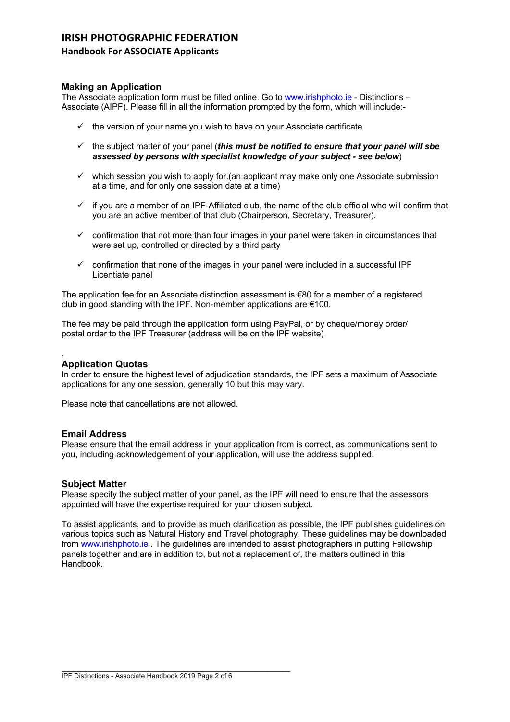# **Handbook For ASSOCIATE Applicants**

## **Making an Application**

The Associate application form must be filled online. Go to www.irishphoto.ie - Distinctions – Associate (AIPF). Please fill in all the information prompted by the form, which will include:-

- $\checkmark$  the version of your name you wish to have on your Associate certificate
- $\checkmark$  the subject matter of your panel (*this must be notified to ensure that your panel will sbe assessed by persons with specialist knowledge of your subject - see below*)
- $\checkmark$  which session you wish to apply for.(an applicant may make only one Associate submission at a time, and for only one session date at a time)
- $\checkmark$  if you are a member of an IPF-Affiliated club, the name of the club official who will confirm that you are an active member of that club (Chairperson, Secretary, Treasurer).
- $\checkmark$  confirmation that not more than four images in your panel were taken in circumstances that were set up, controlled or directed by a third party
- $\checkmark$  confirmation that none of the images in your panel were included in a successful IPF Licentiate panel

The application fee for an Associate distinction assessment is  $\epsilon$ 80 for a member of a registered club in good standing with the IPF. Non-member applications are €100.

The fee may be paid through the application form using PayPal, or by cheque/money order/ postal order to the IPF Treasurer (address will be on the IPF website)

#### . **Application Quotas**

In order to ensure the highest level of adjudication standards, the IPF sets a maximum of Associate applications for any one session, generally 10 but this may vary.

Please note that cancellations are not allowed.

## **Email Address**

Please ensure that the email address in your application from is correct, as communications sent to you, including acknowledgement of your application, will use the address supplied.

## **Subject Matter**

Please specify the subject matter of your panel, as the IPF will need to ensure that the assessors appointed will have the expertise required for your chosen subject.

To assist applicants, and to provide as much clarification as possible, the IPF publishes guidelines on various topics such as Natural History and Travel photography. These guidelines may be downloaded from www.irishphoto.ie . The guidelines are intended to assist photographers in putting Fellowship panels together and are in addition to, but not a replacement of, the matters outlined in this Handbook.

\_\_\_\_\_\_\_\_\_\_\_\_\_\_\_\_\_\_\_\_\_\_\_\_\_\_\_\_\_\_\_\_\_\_\_\_\_\_\_\_\_\_\_\_\_\_\_\_\_\_\_\_\_\_\_\_\_\_\_\_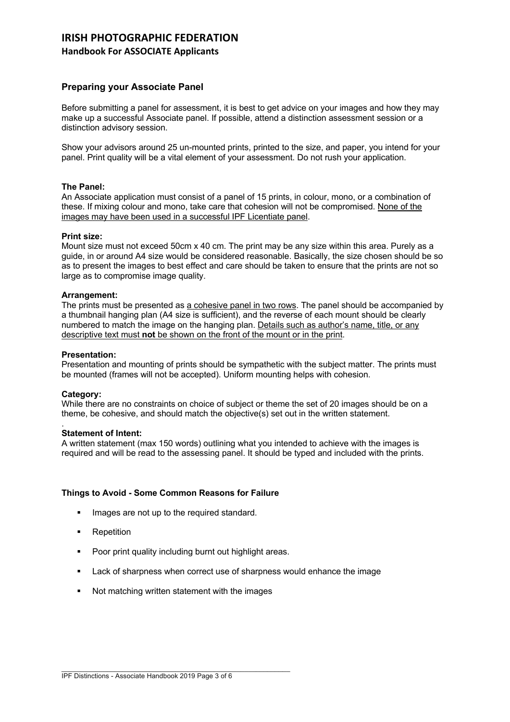## **Handbook For ASSOCIATE Applicants**

# **Preparing your Associate Panel**

Before submitting a panel for assessment, it is best to get advice on your images and how they may make up a successful Associate panel. If possible, attend a distinction assessment session or a distinction advisory session.

Show your advisors around 25 un-mounted prints, printed to the size, and paper, you intend for your panel. Print quality will be a vital element of your assessment. Do not rush your application.

## **The Panel:**

An Associate application must consist of a panel of 15 prints, in colour, mono, or a combination of these. If mixing colour and mono, take care that cohesion will not be compromised. None of the images may have been used in a successful IPF Licentiate panel.

#### **Print size:**

Mount size must not exceed 50cm x 40 cm. The print may be any size within this area. Purely as a guide, in or around A4 size would be considered reasonable. Basically, the size chosen should be so as to present the images to best effect and care should be taken to ensure that the prints are not so large as to compromise image quality.

#### **Arrangement:**

The prints must be presented as a cohesive panel in two rows. The panel should be accompanied by a thumbnail hanging plan (A4 size is sufficient), and the reverse of each mount should be clearly numbered to match the image on the hanging plan. Details such as author's name, title, or any descriptive text must **not** be shown on the front of the mount or in the print.

#### **Presentation:**

Presentation and mounting of prints should be sympathetic with the subject matter. The prints must be mounted (frames will not be accepted). Uniform mounting helps with cohesion.

#### **Category:**

While there are no constraints on choice of subject or theme the set of 20 images should be on a theme, be cohesive, and should match the objective(s) set out in the written statement.

#### . **Statement of Intent:**

A written statement (max 150 words) outlining what you intended to achieve with the images is required and will be read to the assessing panel. It should be typed and included with the prints.

#### **Things to Avoid - Some Common Reasons for Failure**

- **■** Images are not up to the required standard.
- Repetition
- Poor print quality including burnt out highlight areas.
- § Lack of sharpness when correct use of sharpness would enhance the image
- Not matching written statement with the images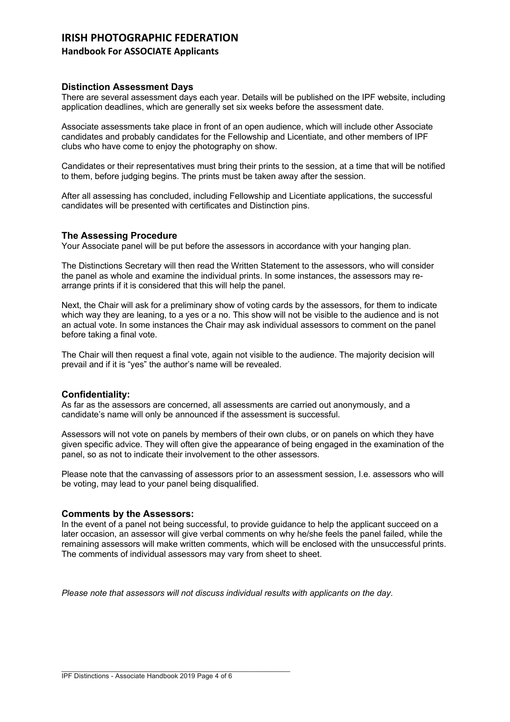# **Handbook For ASSOCIATE Applicants**

## **Distinction Assessment Days**

There are several assessment days each year. Details will be published on the IPF website, including application deadlines, which are generally set six weeks before the assessment date.

Associate assessments take place in front of an open audience, which will include other Associate candidates and probably candidates for the Fellowship and Licentiate, and other members of IPF clubs who have come to enjoy the photography on show.

Candidates or their representatives must bring their prints to the session, at a time that will be notified to them, before judging begins. The prints must be taken away after the session.

After all assessing has concluded, including Fellowship and Licentiate applications, the successful candidates will be presented with certificates and Distinction pins.

## **The Assessing Procedure**

Your Associate panel will be put before the assessors in accordance with your hanging plan.

The Distinctions Secretary will then read the Written Statement to the assessors, who will consider the panel as whole and examine the individual prints. In some instances, the assessors may rearrange prints if it is considered that this will help the panel.

Next, the Chair will ask for a preliminary show of voting cards by the assessors, for them to indicate which way they are leaning, to a yes or a no. This show will not be visible to the audience and is not an actual vote. In some instances the Chair may ask individual assessors to comment on the panel before taking a final vote.

The Chair will then request a final vote, again not visible to the audience. The majority decision will prevail and if it is "yes" the author's name will be revealed.

#### **Confidentiality:**

As far as the assessors are concerned, all assessments are carried out anonymously, and a candidate's name will only be announced if the assessment is successful.

Assessors will not vote on panels by members of their own clubs, or on panels on which they have given specific advice. They will often give the appearance of being engaged in the examination of the panel, so as not to indicate their involvement to the other assessors.

Please note that the canvassing of assessors prior to an assessment session, I.e. assessors who will be voting, may lead to your panel being disqualified.

#### **Comments by the Assessors:**

In the event of a panel not being successful, to provide guidance to help the applicant succeed on a later occasion, an assessor will give verbal comments on why he/she feels the panel failed, while the remaining assessors will make written comments, which will be enclosed with the unsuccessful prints. The comments of individual assessors may vary from sheet to sheet.

*Please note that assessors will not discuss individual results with applicants on the day*.

\_\_\_\_\_\_\_\_\_\_\_\_\_\_\_\_\_\_\_\_\_\_\_\_\_\_\_\_\_\_\_\_\_\_\_\_\_\_\_\_\_\_\_\_\_\_\_\_\_\_\_\_\_\_\_\_\_\_\_\_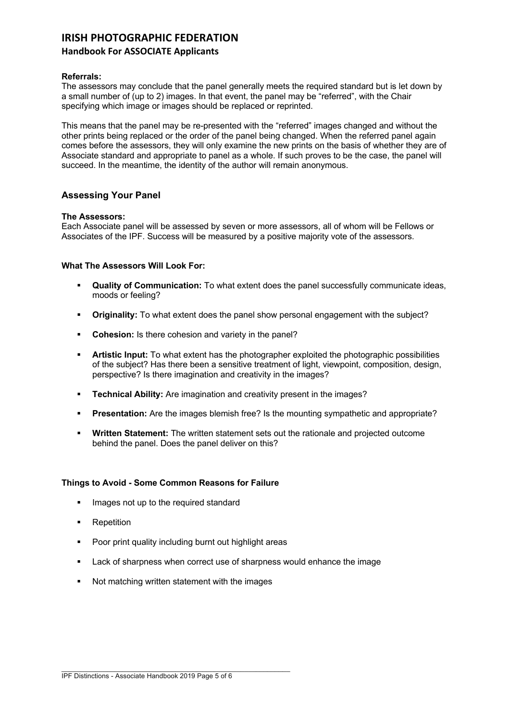## **Handbook For ASSOCIATE Applicants**

## **Referrals:**

The assessors may conclude that the panel generally meets the required standard but is let down by a small number of (up to 2) images. In that event, the panel may be "referred", with the Chair specifying which image or images should be replaced or reprinted.

This means that the panel may be re-presented with the "referred" images changed and without the other prints being replaced or the order of the panel being changed. When the referred panel again comes before the assessors, they will only examine the new prints on the basis of whether they are of Associate standard and appropriate to panel as a whole. If such proves to be the case, the panel will succeed. In the meantime, the identity of the author will remain anonymous.

## **Assessing Your Panel**

## **The Assessors:**

Each Associate panel will be assessed by seven or more assessors, all of whom will be Fellows or Associates of the IPF. Success will be measured by a positive majority vote of the assessors.

## **What The Assessors Will Look For:**

- § **Quality of Communication:** To what extent does the panel successfully communicate ideas, moods or feeling?
- § **Originality:** To what extent does the panel show personal engagement with the subject?
- § **Cohesion:** Is there cohesion and variety in the panel?
- § **Artistic Input:** To what extent has the photographer exploited the photographic possibilities of the subject? Has there been a sensitive treatment of light, viewpoint, composition, design, perspective? Is there imagination and creativity in the images?
- **Technical Ability:** Are imagination and creativity present in the images?
- **Presentation:** Are the images blemish free? Is the mounting sympathetic and appropriate?
- § **Written Statement:** The written statement sets out the rationale and projected outcome behind the panel. Does the panel deliver on this?

## **Things to Avoid - Some Common Reasons for Failure**

- Images not up to the required standard
- Repetition
- Poor print quality including burnt out highlight areas
- Lack of sharpness when correct use of sharpness would enhance the image
- Not matching written statement with the images